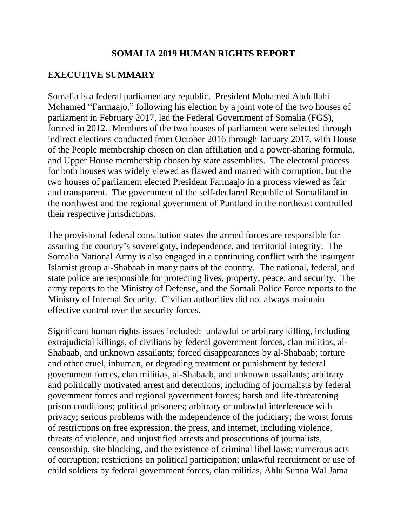### **SOMALIA 2019 HUMAN RIGHTS REPORT**

# **EXECUTIVE SUMMARY**

Somalia is a federal parliamentary republic. President Mohamed Abdullahi Mohamed "Farmaajo," following his election by a joint vote of the two houses of parliament in February 2017, led the Federal Government of Somalia (FGS), formed in 2012. Members of the two houses of parliament were selected through indirect elections conducted from October 2016 through January 2017, with House of the People membership chosen on clan affiliation and a power-sharing formula, and Upper House membership chosen by state assemblies. The electoral process for both houses was widely viewed as flawed and marred with corruption, but the two houses of parliament elected President Farmaajo in a process viewed as fair and transparent. The government of the self-declared Republic of Somaliland in the northwest and the regional government of Puntland in the northeast controlled their respective jurisdictions.

The provisional federal constitution states the armed forces are responsible for assuring the country's sovereignty, independence, and territorial integrity. The Somalia National Army is also engaged in a continuing conflict with the insurgent Islamist group al-Shabaab in many parts of the country. The national, federal, and state police are responsible for protecting lives, property, peace, and security. The army reports to the Ministry of Defense, and the Somali Police Force reports to the Ministry of Internal Security. Civilian authorities did not always maintain effective control over the security forces.

Significant human rights issues included: unlawful or arbitrary killing, including extrajudicial killings, of civilians by federal government forces, clan militias, al-Shabaab, and unknown assailants; forced disappearances by al-Shabaab; torture and other cruel, inhuman, or degrading treatment or punishment by federal government forces, clan militias, al-Shabaab, and unknown assailants; arbitrary and politically motivated arrest and detentions, including of journalists by federal government forces and regional government forces; harsh and life-threatening prison conditions; political prisoners; arbitrary or unlawful interference with privacy; serious problems with the independence of the judiciary; the worst forms of restrictions on free expression, the press, and internet, including violence, threats of violence, and unjustified arrests and prosecutions of journalists, censorship, site blocking, and the existence of criminal libel laws; numerous acts of corruption; restrictions on political participation; unlawful recruitment or use of child soldiers by federal government forces, clan militias, Ahlu Sunna Wal Jama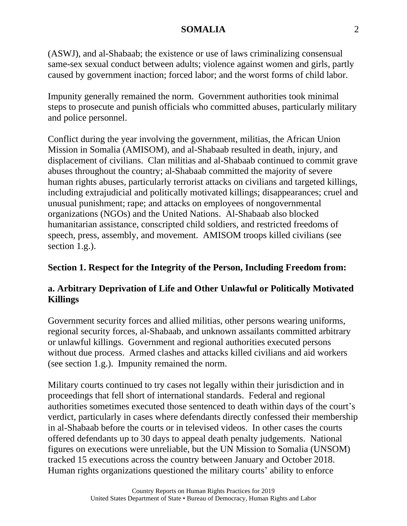(ASWJ), and al-Shabaab; the existence or use of laws criminalizing consensual same-sex sexual conduct between adults; violence against women and girls, partly caused by government inaction; forced labor; and the worst forms of child labor.

Impunity generally remained the norm. Government authorities took minimal steps to prosecute and punish officials who committed abuses, particularly military and police personnel.

Conflict during the year involving the government, militias, the African Union Mission in Somalia (AMISOM), and al-Shabaab resulted in death, injury, and displacement of civilians. Clan militias and al-Shabaab continued to commit grave abuses throughout the country; al-Shabaab committed the majority of severe human rights abuses, particularly terrorist attacks on civilians and targeted killings, including extrajudicial and politically motivated killings; disappearances; cruel and unusual punishment; rape; and attacks on employees of nongovernmental organizations (NGOs) and the United Nations. Al-Shabaab also blocked humanitarian assistance, conscripted child soldiers, and restricted freedoms of speech, press, assembly, and movement. AMISOM troops killed civilians (see section 1.g.).

### **Section 1. Respect for the Integrity of the Person, Including Freedom from:**

### **a. Arbitrary Deprivation of Life and Other Unlawful or Politically Motivated Killings**

Government security forces and allied militias, other persons wearing uniforms, regional security forces, al-Shabaab, and unknown assailants committed arbitrary or unlawful killings. Government and regional authorities executed persons without due process. Armed clashes and attacks killed civilians and aid workers (see section 1.g.). Impunity remained the norm.

Military courts continued to try cases not legally within their jurisdiction and in proceedings that fell short of international standards. Federal and regional authorities sometimes executed those sentenced to death within days of the court's verdict, particularly in cases where defendants directly confessed their membership in al-Shabaab before the courts or in televised videos. In other cases the courts offered defendants up to 30 days to appeal death penalty judgements. National figures on executions were unreliable, but the UN Mission to Somalia (UNSOM) tracked 15 executions across the country between January and October 2018. Human rights organizations questioned the military courts' ability to enforce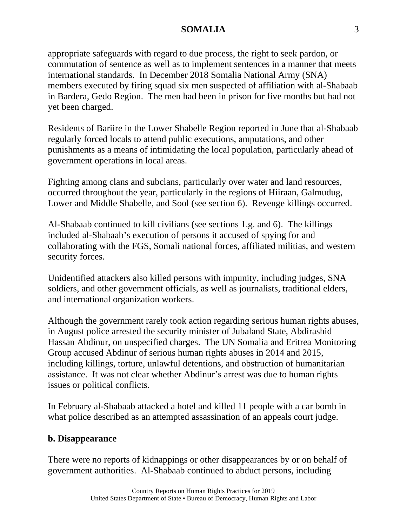appropriate safeguards with regard to due process, the right to seek pardon, or commutation of sentence as well as to implement sentences in a manner that meets international standards. In December 2018 Somalia National Army (SNA) members executed by firing squad six men suspected of affiliation with al-Shabaab in Bardera, Gedo Region. The men had been in prison for five months but had not yet been charged.

Residents of Bariire in the Lower Shabelle Region reported in June that al-Shabaab regularly forced locals to attend public executions, amputations, and other punishments as a means of intimidating the local population, particularly ahead of government operations in local areas.

Fighting among clans and subclans, particularly over water and land resources, occurred throughout the year, particularly in the regions of Hiiraan, Galmudug, Lower and Middle Shabelle, and Sool (see section 6). Revenge killings occurred.

Al-Shabaab continued to kill civilians (see sections 1.g. and 6). The killings included al-Shabaab's execution of persons it accused of spying for and collaborating with the FGS, Somali national forces, affiliated militias, and western security forces.

Unidentified attackers also killed persons with impunity, including judges, SNA soldiers, and other government officials, as well as journalists, traditional elders, and international organization workers.

Although the government rarely took action regarding serious human rights abuses, in August police arrested the security minister of Jubaland State, Abdirashid Hassan Abdinur, on unspecified charges. The UN Somalia and Eritrea Monitoring Group accused Abdinur of serious human rights abuses in 2014 and 2015, including killings, torture, unlawful detentions, and obstruction of humanitarian assistance. It was not clear whether Abdinur's arrest was due to human rights issues or political conflicts.

In February al-Shabaab attacked a hotel and killed 11 people with a car bomb in what police described as an attempted assassination of an appeals court judge.

### **b. Disappearance**

There were no reports of kidnappings or other disappearances by or on behalf of government authorities. Al-Shabaab continued to abduct persons, including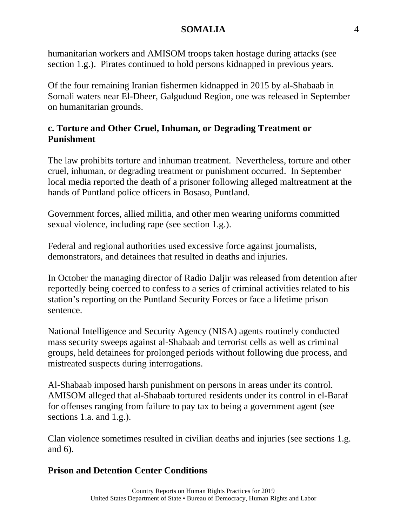humanitarian workers and AMISOM troops taken hostage during attacks (see section 1.g.). Pirates continued to hold persons kidnapped in previous years.

Of the four remaining Iranian fishermen kidnapped in 2015 by al-Shabaab in Somali waters near El-Dheer, Galguduud Region, one was released in September on humanitarian grounds.

# **c. Torture and Other Cruel, Inhuman, or Degrading Treatment or Punishment**

The law prohibits torture and inhuman treatment. Nevertheless, torture and other cruel, inhuman, or degrading treatment or punishment occurred. In September local media reported the death of a prisoner following alleged maltreatment at the hands of Puntland police officers in Bosaso, Puntland.

Government forces, allied militia, and other men wearing uniforms committed sexual violence, including rape (see section 1.g.).

Federal and regional authorities used excessive force against journalists, demonstrators, and detainees that resulted in deaths and injuries.

In October the managing director of Radio Daljir was released from detention after reportedly being coerced to confess to a series of criminal activities related to his station's reporting on the Puntland Security Forces or face a lifetime prison sentence.

National Intelligence and Security Agency (NISA) agents routinely conducted mass security sweeps against al-Shabaab and terrorist cells as well as criminal groups, held detainees for prolonged periods without following due process, and mistreated suspects during interrogations.

Al-Shabaab imposed harsh punishment on persons in areas under its control. AMISOM alleged that al-Shabaab tortured residents under its control in el-Baraf for offenses ranging from failure to pay tax to being a government agent (see sections 1.a. and 1.g.).

Clan violence sometimes resulted in civilian deaths and injuries (see sections 1.g. and 6).

# **Prison and Detention Center Conditions**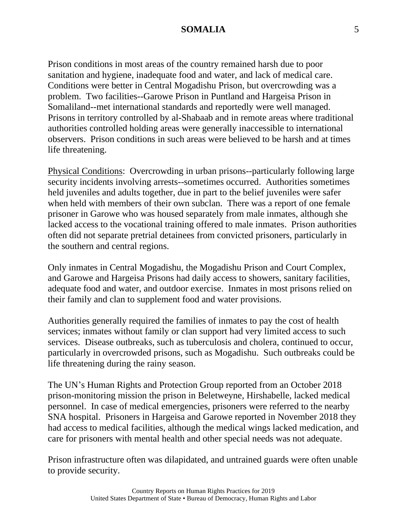Prison conditions in most areas of the country remained harsh due to poor sanitation and hygiene, inadequate food and water, and lack of medical care. Conditions were better in Central Mogadishu Prison, but overcrowding was a problem. Two facilities--Garowe Prison in Puntland and Hargeisa Prison in Somaliland--met international standards and reportedly were well managed. Prisons in territory controlled by al-Shabaab and in remote areas where traditional authorities controlled holding areas were generally inaccessible to international observers. Prison conditions in such areas were believed to be harsh and at times life threatening.

Physical Conditions: Overcrowding in urban prisons--particularly following large security incidents involving arrests--sometimes occurred. Authorities sometimes held juveniles and adults together, due in part to the belief juveniles were safer when held with members of their own subclan. There was a report of one female prisoner in Garowe who was housed separately from male inmates, although she lacked access to the vocational training offered to male inmates. Prison authorities often did not separate pretrial detainees from convicted prisoners, particularly in the southern and central regions.

Only inmates in Central Mogadishu, the Mogadishu Prison and Court Complex, and Garowe and Hargeisa Prisons had daily access to showers, sanitary facilities, adequate food and water, and outdoor exercise. Inmates in most prisons relied on their family and clan to supplement food and water provisions.

Authorities generally required the families of inmates to pay the cost of health services; inmates without family or clan support had very limited access to such services. Disease outbreaks, such as tuberculosis and cholera, continued to occur, particularly in overcrowded prisons, such as Mogadishu. Such outbreaks could be life threatening during the rainy season.

The UN's Human Rights and Protection Group reported from an October 2018 prison-monitoring mission the prison in Beletweyne, Hirshabelle, lacked medical personnel. In case of medical emergencies, prisoners were referred to the nearby SNA hospital. Prisoners in Hargeisa and Garowe reported in November 2018 they had access to medical facilities, although the medical wings lacked medication, and care for prisoners with mental health and other special needs was not adequate.

Prison infrastructure often was dilapidated, and untrained guards were often unable to provide security.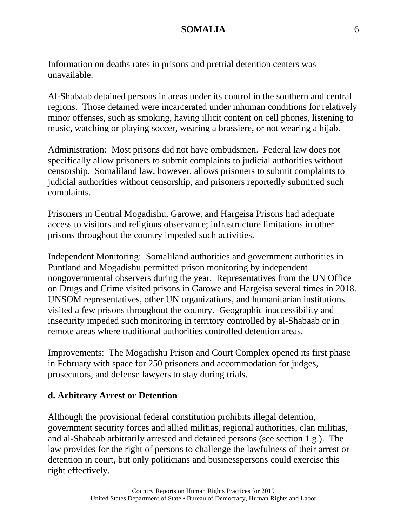Information on deaths rates in prisons and pretrial detention centers was unavailable.

Al-Shabaab detained persons in areas under its control in the southern and central regions. Those detained were incarcerated under inhuman conditions for relatively minor offenses, such as smoking, having illicit content on cell phones, listening to music, watching or playing soccer, wearing a brassiere, or not wearing a hijab.

Administration: Most prisons did not have ombudsmen. Federal law does not specifically allow prisoners to submit complaints to judicial authorities without censorship. Somaliland law, however, allows prisoners to submit complaints to judicial authorities without censorship, and prisoners reportedly submitted such complaints.

Prisoners in Central Mogadishu, Garowe, and Hargeisa Prisons had adequate access to visitors and religious observance; infrastructure limitations in other prisons throughout the country impeded such activities.

Independent Monitoring: Somaliland authorities and government authorities in Puntland and Mogadishu permitted prison monitoring by independent nongovernmental observers during the year. Representatives from the UN Office on Drugs and Crime visited prisons in Garowe and Hargeisa several times in 2018. UNSOM representatives, other UN organizations, and humanitarian institutions visited a few prisons throughout the country. Geographic inaccessibility and insecurity impeded such monitoring in territory controlled by al-Shabaab or in remote areas where traditional authorities controlled detention areas.

Improvements: The Mogadishu Prison and Court Complex opened its first phase in February with space for 250 prisoners and accommodation for judges, prosecutors, and defense lawyers to stay during trials.

## **d. Arbitrary Arrest or Detention**

Although the provisional federal constitution prohibits illegal detention, government security forces and allied militias, regional authorities, clan militias, and al-Shabaab arbitrarily arrested and detained persons (see section 1.g.). The law provides for the right of persons to challenge the lawfulness of their arrest or detention in court, but only politicians and businesspersons could exercise this right effectively.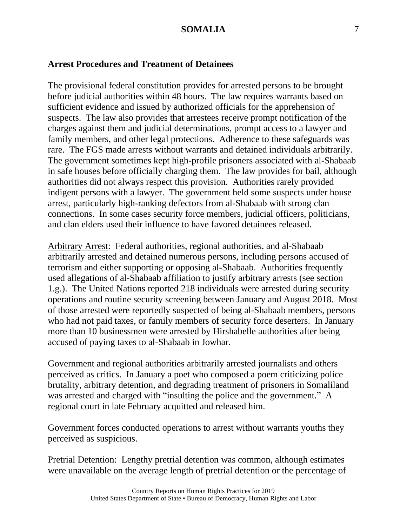#### **Arrest Procedures and Treatment of Detainees**

The provisional federal constitution provides for arrested persons to be brought before judicial authorities within 48 hours. The law requires warrants based on sufficient evidence and issued by authorized officials for the apprehension of suspects. The law also provides that arrestees receive prompt notification of the charges against them and judicial determinations, prompt access to a lawyer and family members, and other legal protections. Adherence to these safeguards was rare. The FGS made arrests without warrants and detained individuals arbitrarily. The government sometimes kept high-profile prisoners associated with al-Shabaab in safe houses before officially charging them. The law provides for bail, although authorities did not always respect this provision. Authorities rarely provided indigent persons with a lawyer. The government held some suspects under house arrest, particularly high-ranking defectors from al-Shabaab with strong clan connections. In some cases security force members, judicial officers, politicians, and clan elders used their influence to have favored detainees released.

Arbitrary Arrest: Federal authorities, regional authorities, and al-Shabaab arbitrarily arrested and detained numerous persons, including persons accused of terrorism and either supporting or opposing al-Shabaab. Authorities frequently used allegations of al-Shabaab affiliation to justify arbitrary arrests (see section 1.g.). The United Nations reported 218 individuals were arrested during security operations and routine security screening between January and August 2018. Most of those arrested were reportedly suspected of being al-Shabaab members, persons who had not paid taxes, or family members of security force deserters. In January more than 10 businessmen were arrested by Hirshabelle authorities after being accused of paying taxes to al-Shabaab in Jowhar.

Government and regional authorities arbitrarily arrested journalists and others perceived as critics. In January a poet who composed a poem criticizing police brutality, arbitrary detention, and degrading treatment of prisoners in Somaliland was arrested and charged with "insulting the police and the government." A regional court in late February acquitted and released him.

Government forces conducted operations to arrest without warrants youths they perceived as suspicious.

Pretrial Detention: Lengthy pretrial detention was common, although estimates were unavailable on the average length of pretrial detention or the percentage of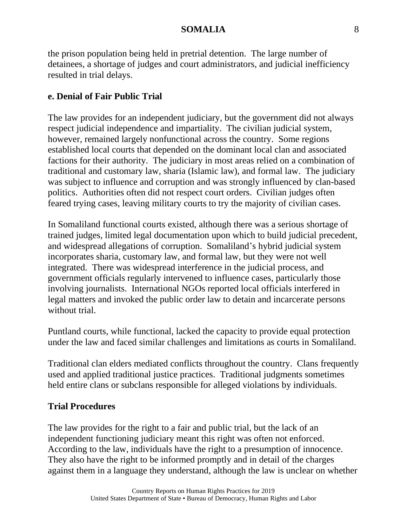the prison population being held in pretrial detention. The large number of detainees, a shortage of judges and court administrators, and judicial inefficiency resulted in trial delays.

# **e. Denial of Fair Public Trial**

The law provides for an independent judiciary, but the government did not always respect judicial independence and impartiality. The civilian judicial system, however, remained largely nonfunctional across the country. Some regions established local courts that depended on the dominant local clan and associated factions for their authority. The judiciary in most areas relied on a combination of traditional and customary law, sharia (Islamic law), and formal law. The judiciary was subject to influence and corruption and was strongly influenced by clan-based politics. Authorities often did not respect court orders. Civilian judges often feared trying cases, leaving military courts to try the majority of civilian cases.

In Somaliland functional courts existed, although there was a serious shortage of trained judges, limited legal documentation upon which to build judicial precedent, and widespread allegations of corruption. Somaliland's hybrid judicial system incorporates sharia, customary law, and formal law, but they were not well integrated. There was widespread interference in the judicial process, and government officials regularly intervened to influence cases, particularly those involving journalists. International NGOs reported local officials interfered in legal matters and invoked the public order law to detain and incarcerate persons without trial.

Puntland courts, while functional, lacked the capacity to provide equal protection under the law and faced similar challenges and limitations as courts in Somaliland.

Traditional clan elders mediated conflicts throughout the country. Clans frequently used and applied traditional justice practices. Traditional judgments sometimes held entire clans or subclans responsible for alleged violations by individuals.

# **Trial Procedures**

The law provides for the right to a fair and public trial, but the lack of an independent functioning judiciary meant this right was often not enforced. According to the law, individuals have the right to a presumption of innocence. They also have the right to be informed promptly and in detail of the charges against them in a language they understand, although the law is unclear on whether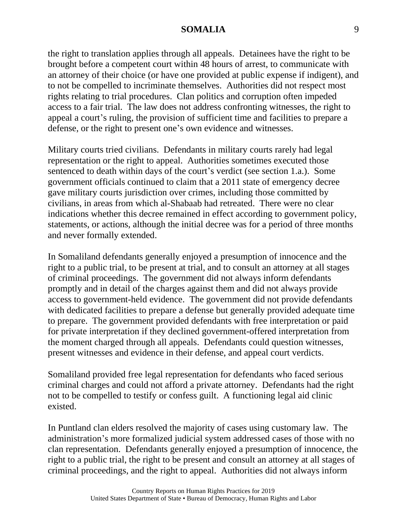the right to translation applies through all appeals. Detainees have the right to be brought before a competent court within 48 hours of arrest, to communicate with an attorney of their choice (or have one provided at public expense if indigent), and to not be compelled to incriminate themselves. Authorities did not respect most rights relating to trial procedures. Clan politics and corruption often impeded access to a fair trial. The law does not address confronting witnesses, the right to appeal a court's ruling, the provision of sufficient time and facilities to prepare a defense, or the right to present one's own evidence and witnesses.

Military courts tried civilians. Defendants in military courts rarely had legal representation or the right to appeal. Authorities sometimes executed those sentenced to death within days of the court's verdict (see section 1.a.). Some government officials continued to claim that a 2011 state of emergency decree gave military courts jurisdiction over crimes, including those committed by civilians, in areas from which al-Shabaab had retreated. There were no clear indications whether this decree remained in effect according to government policy, statements, or actions, although the initial decree was for a period of three months and never formally extended.

In Somaliland defendants generally enjoyed a presumption of innocence and the right to a public trial, to be present at trial, and to consult an attorney at all stages of criminal proceedings. The government did not always inform defendants promptly and in detail of the charges against them and did not always provide access to government-held evidence. The government did not provide defendants with dedicated facilities to prepare a defense but generally provided adequate time to prepare. The government provided defendants with free interpretation or paid for private interpretation if they declined government-offered interpretation from the moment charged through all appeals. Defendants could question witnesses, present witnesses and evidence in their defense, and appeal court verdicts.

Somaliland provided free legal representation for defendants who faced serious criminal charges and could not afford a private attorney. Defendants had the right not to be compelled to testify or confess guilt. A functioning legal aid clinic existed.

In Puntland clan elders resolved the majority of cases using customary law. The administration's more formalized judicial system addressed cases of those with no clan representation. Defendants generally enjoyed a presumption of innocence, the right to a public trial, the right to be present and consult an attorney at all stages of criminal proceedings, and the right to appeal. Authorities did not always inform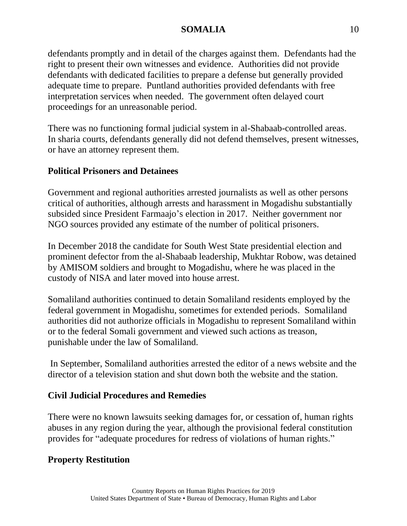defendants promptly and in detail of the charges against them. Defendants had the right to present their own witnesses and evidence. Authorities did not provide defendants with dedicated facilities to prepare a defense but generally provided adequate time to prepare. Puntland authorities provided defendants with free interpretation services when needed. The government often delayed court proceedings for an unreasonable period.

There was no functioning formal judicial system in al-Shabaab-controlled areas. In sharia courts, defendants generally did not defend themselves, present witnesses, or have an attorney represent them.

# **Political Prisoners and Detainees**

Government and regional authorities arrested journalists as well as other persons critical of authorities, although arrests and harassment in Mogadishu substantially subsided since President Farmaajo's election in 2017. Neither government nor NGO sources provided any estimate of the number of political prisoners.

In December 2018 the candidate for South West State presidential election and prominent defector from the al-Shabaab leadership, Mukhtar Robow, was detained by AMISOM soldiers and brought to Mogadishu, where he was placed in the custody of NISA and later moved into house arrest.

Somaliland authorities continued to detain Somaliland residents employed by the federal government in Mogadishu, sometimes for extended periods. Somaliland authorities did not authorize officials in Mogadishu to represent Somaliland within or to the federal Somali government and viewed such actions as treason, punishable under the law of Somaliland.

In September, Somaliland authorities arrested the editor of a news website and the director of a television station and shut down both the website and the station.

# **Civil Judicial Procedures and Remedies**

There were no known lawsuits seeking damages for, or cessation of, human rights abuses in any region during the year, although the provisional federal constitution provides for "adequate procedures for redress of violations of human rights."

# **Property Restitution**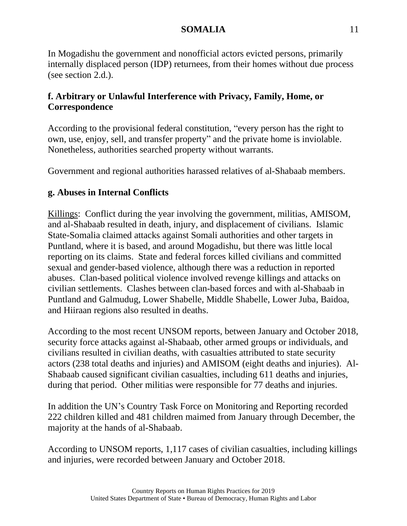In Mogadishu the government and nonofficial actors evicted persons, primarily internally displaced person (IDP) returnees, from their homes without due process (see section 2.d.).

# **f. Arbitrary or Unlawful Interference with Privacy, Family, Home, or Correspondence**

According to the provisional federal constitution, "every person has the right to own, use, enjoy, sell, and transfer property" and the private home is inviolable. Nonetheless, authorities searched property without warrants.

Government and regional authorities harassed relatives of al-Shabaab members.

# **g. Abuses in Internal Conflicts**

Killings: Conflict during the year involving the government, militias, AMISOM, and al-Shabaab resulted in death, injury, and displacement of civilians. Islamic State-Somalia claimed attacks against Somali authorities and other targets in Puntland, where it is based, and around Mogadishu, but there was little local reporting on its claims. State and federal forces killed civilians and committed sexual and gender-based violence, although there was a reduction in reported abuses. Clan-based political violence involved revenge killings and attacks on civilian settlements. Clashes between clan-based forces and with al-Shabaab in Puntland and Galmudug, Lower Shabelle, Middle Shabelle, Lower Juba, Baidoa, and Hiiraan regions also resulted in deaths.

According to the most recent UNSOM reports, between January and October 2018, security force attacks against al-Shabaab, other armed groups or individuals, and civilians resulted in civilian deaths, with casualties attributed to state security actors (238 total deaths and injuries) and AMISOM (eight deaths and injuries). Al-Shabaab caused significant civilian casualties, including 611 deaths and injuries, during that period. Other militias were responsible for 77 deaths and injuries.

In addition the UN's Country Task Force on Monitoring and Reporting recorded 222 children killed and 481 children maimed from January through December, the majority at the hands of al-Shabaab.

According to UNSOM reports, 1,117 cases of civilian casualties, including killings and injuries, were recorded between January and October 2018.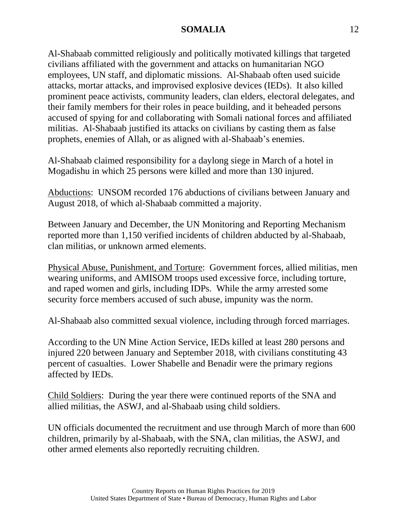Al-Shabaab committed religiously and politically motivated killings that targeted civilians affiliated with the government and attacks on humanitarian NGO employees, UN staff, and diplomatic missions. Al-Shabaab often used suicide attacks, mortar attacks, and improvised explosive devices (IEDs). It also killed prominent peace activists, community leaders, clan elders, electoral delegates, and their family members for their roles in peace building, and it beheaded persons accused of spying for and collaborating with Somali national forces and affiliated militias. Al-Shabaab justified its attacks on civilians by casting them as false prophets, enemies of Allah, or as aligned with al-Shabaab's enemies.

Al-Shabaab claimed responsibility for a daylong siege in March of a hotel in Mogadishu in which 25 persons were killed and more than 130 injured.

Abductions: UNSOM recorded 176 abductions of civilians between January and August 2018, of which al-Shabaab committed a majority.

Between January and December, the UN Monitoring and Reporting Mechanism reported more than 1,150 verified incidents of children abducted by al-Shabaab, clan militias, or unknown armed elements.

Physical Abuse, Punishment, and Torture: Government forces, allied militias, men wearing uniforms, and AMISOM troops used excessive force, including torture, and raped women and girls, including IDPs. While the army arrested some security force members accused of such abuse, impunity was the norm.

Al-Shabaab also committed sexual violence, including through forced marriages.

According to the UN Mine Action Service, IEDs killed at least 280 persons and injured 220 between January and September 2018, with civilians constituting 43 percent of casualties. Lower Shabelle and Benadir were the primary regions affected by IEDs.

Child Soldiers: During the year there were continued reports of the SNA and allied militias, the ASWJ, and al-Shabaab using child soldiers.

UN officials documented the recruitment and use through March of more than 600 children, primarily by al-Shabaab, with the SNA, clan militias, the ASWJ, and other armed elements also reportedly recruiting children.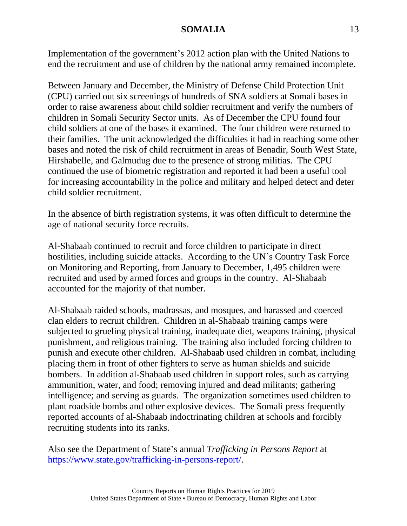Implementation of the government's 2012 action plan with the United Nations to end the recruitment and use of children by the national army remained incomplete.

Between January and December, the Ministry of Defense Child Protection Unit (CPU) carried out six screenings of hundreds of SNA soldiers at Somali bases in order to raise awareness about child soldier recruitment and verify the numbers of children in Somali Security Sector units. As of December the CPU found four child soldiers at one of the bases it examined. The four children were returned to their families. The unit acknowledged the difficulties it had in reaching some other bases and noted the risk of child recruitment in areas of Benadir, South West State, Hirshabelle, and Galmudug due to the presence of strong militias. The CPU continued the use of biometric registration and reported it had been a useful tool for increasing accountability in the police and military and helped detect and deter child soldier recruitment.

In the absence of birth registration systems, it was often difficult to determine the age of national security force recruits.

Al-Shabaab continued to recruit and force children to participate in direct hostilities, including suicide attacks. According to the UN's Country Task Force on Monitoring and Reporting, from January to December, 1,495 children were recruited and used by armed forces and groups in the country. Al-Shabaab accounted for the majority of that number.

Al-Shabaab raided schools, madrassas, and mosques, and harassed and coerced clan elders to recruit children. Children in al-Shabaab training camps were subjected to grueling physical training, inadequate diet, weapons training, physical punishment, and religious training. The training also included forcing children to punish and execute other children. Al-Shabaab used children in combat, including placing them in front of other fighters to serve as human shields and suicide bombers. In addition al-Shabaab used children in support roles, such as carrying ammunition, water, and food; removing injured and dead militants; gathering intelligence; and serving as guards. The organization sometimes used children to plant roadside bombs and other explosive devices. The Somali press frequently reported accounts of al-Shabaab indoctrinating children at schools and forcibly recruiting students into its ranks.

Also see the Department of State's annual *Trafficking in Persons Report* at [https://www.state.gov/trafficking-in-persons-report/.](https://www.state.gov/trafficking-in-persons-report/)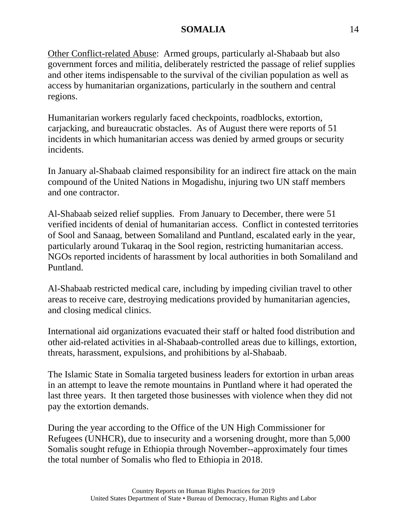Other Conflict-related Abuse: Armed groups, particularly al-Shabaab but also government forces and militia, deliberately restricted the passage of relief supplies and other items indispensable to the survival of the civilian population as well as access by humanitarian organizations, particularly in the southern and central regions.

Humanitarian workers regularly faced checkpoints, roadblocks, extortion, carjacking, and bureaucratic obstacles. As of August there were reports of 51 incidents in which humanitarian access was denied by armed groups or security incidents.

In January al-Shabaab claimed responsibility for an indirect fire attack on the main compound of the United Nations in Mogadishu, injuring two UN staff members and one contractor.

Al-Shabaab seized relief supplies. From January to December, there were 51 verified incidents of denial of humanitarian access. Conflict in contested territories of Sool and Sanaag, between Somaliland and Puntland, escalated early in the year, particularly around Tukaraq in the Sool region, restricting humanitarian access. NGOs reported incidents of harassment by local authorities in both Somaliland and Puntland.

Al-Shabaab restricted medical care, including by impeding civilian travel to other areas to receive care, destroying medications provided by humanitarian agencies, and closing medical clinics.

International aid organizations evacuated their staff or halted food distribution and other aid-related activities in al-Shabaab-controlled areas due to killings, extortion, threats, harassment, expulsions, and prohibitions by al-Shabaab.

The Islamic State in Somalia targeted business leaders for extortion in urban areas in an attempt to leave the remote mountains in Puntland where it had operated the last three years. It then targeted those businesses with violence when they did not pay the extortion demands.

During the year according to the Office of the UN High Commissioner for Refugees (UNHCR), due to insecurity and a worsening drought, more than 5,000 Somalis sought refuge in Ethiopia through November--approximately four times the total number of Somalis who fled to Ethiopia in 2018.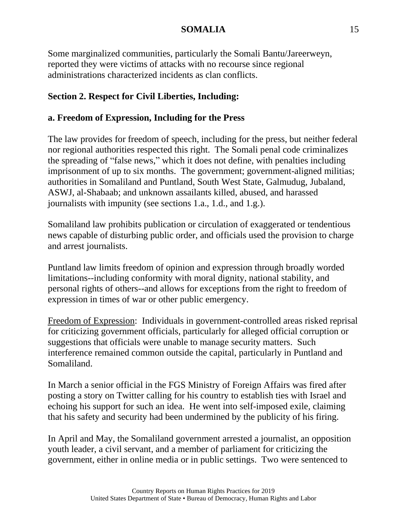Some marginalized communities, particularly the Somali Bantu/Jareerweyn, reported they were victims of attacks with no recourse since regional administrations characterized incidents as clan conflicts.

# **Section 2. Respect for Civil Liberties, Including:**

# **a. Freedom of Expression, Including for the Press**

The law provides for freedom of speech, including for the press, but neither federal nor regional authorities respected this right. The Somali penal code criminalizes the spreading of "false news," which it does not define, with penalties including imprisonment of up to six months. The government; government-aligned militias; authorities in Somaliland and Puntland, South West State, Galmudug, Jubaland, ASWJ, al-Shabaab; and unknown assailants killed, abused, and harassed journalists with impunity (see sections 1.a., 1.d., and 1.g.).

Somaliland law prohibits publication or circulation of exaggerated or tendentious news capable of disturbing public order, and officials used the provision to charge and arrest journalists.

Puntland law limits freedom of opinion and expression through broadly worded limitations--including conformity with moral dignity, national stability, and personal rights of others--and allows for exceptions from the right to freedom of expression in times of war or other public emergency.

Freedom of Expression: Individuals in government-controlled areas risked reprisal for criticizing government officials, particularly for alleged official corruption or suggestions that officials were unable to manage security matters. Such interference remained common outside the capital, particularly in Puntland and Somaliland.

In March a senior official in the FGS Ministry of Foreign Affairs was fired after posting a story on Twitter calling for his country to establish ties with Israel and echoing his support for such an idea. He went into self-imposed exile, claiming that his safety and security had been undermined by the publicity of his firing.

In April and May, the Somaliland government arrested a journalist, an opposition youth leader, a civil servant, and a member of parliament for criticizing the government, either in online media or in public settings. Two were sentenced to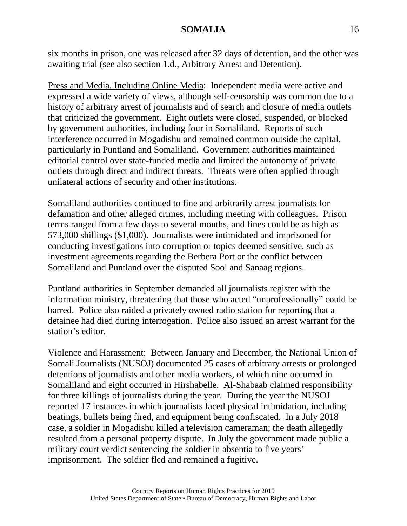six months in prison, one was released after 32 days of detention, and the other was awaiting trial (see also section 1.d., Arbitrary Arrest and Detention).

Press and Media, Including Online Media: Independent media were active and expressed a wide variety of views, although self-censorship was common due to a history of arbitrary arrest of journalists and of search and closure of media outlets that criticized the government. Eight outlets were closed, suspended, or blocked by government authorities, including four in Somaliland. Reports of such interference occurred in Mogadishu and remained common outside the capital, particularly in Puntland and Somaliland. Government authorities maintained editorial control over state-funded media and limited the autonomy of private outlets through direct and indirect threats. Threats were often applied through unilateral actions of security and other institutions.

Somaliland authorities continued to fine and arbitrarily arrest journalists for defamation and other alleged crimes, including meeting with colleagues. Prison terms ranged from a few days to several months, and fines could be as high as 573,000 shillings (\$1,000). Journalists were intimidated and imprisoned for conducting investigations into corruption or topics deemed sensitive, such as investment agreements regarding the Berbera Port or the conflict between Somaliland and Puntland over the disputed Sool and Sanaag regions.

Puntland authorities in September demanded all journalists register with the information ministry, threatening that those who acted "unprofessionally" could be barred. Police also raided a privately owned radio station for reporting that a detainee had died during interrogation. Police also issued an arrest warrant for the station's editor.

Violence and Harassment: Between January and December, the National Union of Somali Journalists (NUSOJ) documented 25 cases of arbitrary arrests or prolonged detentions of journalists and other media workers, of which nine occurred in Somaliland and eight occurred in Hirshabelle. Al-Shabaab claimed responsibility for three killings of journalists during the year. During the year the NUSOJ reported 17 instances in which journalists faced physical intimidation, including beatings, bullets being fired, and equipment being confiscated. In a July 2018 case, a soldier in Mogadishu killed a television cameraman; the death allegedly resulted from a personal property dispute. In July the government made public a military court verdict sentencing the soldier in absentia to five years' imprisonment. The soldier fled and remained a fugitive.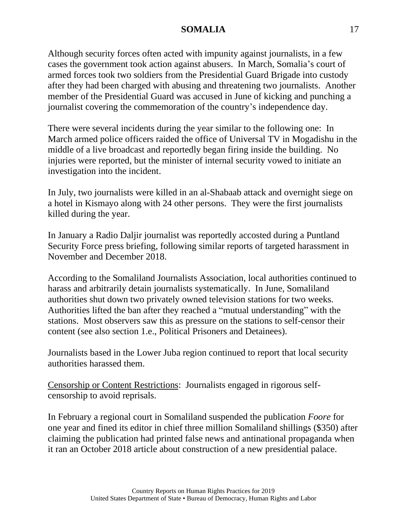Although security forces often acted with impunity against journalists, in a few cases the government took action against abusers. In March, Somalia's court of armed forces took two soldiers from the Presidential Guard Brigade into custody after they had been charged with abusing and threatening two journalists. Another member of the Presidential Guard was accused in June of kicking and punching a journalist covering the commemoration of the country's independence day.

There were several incidents during the year similar to the following one: In March armed police officers raided the office of Universal TV in Mogadishu in the middle of a live broadcast and reportedly began firing inside the building. No injuries were reported, but the minister of internal security vowed to initiate an investigation into the incident.

In July, two journalists were killed in an al-Shabaab attack and overnight siege on a hotel in Kismayo along with 24 other persons. They were the first journalists killed during the year.

In January a Radio Daljir journalist was reportedly accosted during a Puntland Security Force press briefing, following similar reports of targeted harassment in November and December 2018.

According to the Somaliland Journalists Association, local authorities continued to harass and arbitrarily detain journalists systematically. In June, Somaliland authorities shut down two privately owned television stations for two weeks. Authorities lifted the ban after they reached a "mutual understanding" with the stations. Most observers saw this as pressure on the stations to self-censor their content (see also section 1.e., Political Prisoners and Detainees).

Journalists based in the Lower Juba region continued to report that local security authorities harassed them.

Censorship or Content Restrictions: Journalists engaged in rigorous selfcensorship to avoid reprisals.

In February a regional court in Somaliland suspended the publication *Foore* for one year and fined its editor in chief three million Somaliland shillings (\$350) after claiming the publication had printed false news and antinational propaganda when it ran an October 2018 article about construction of a new presidential palace.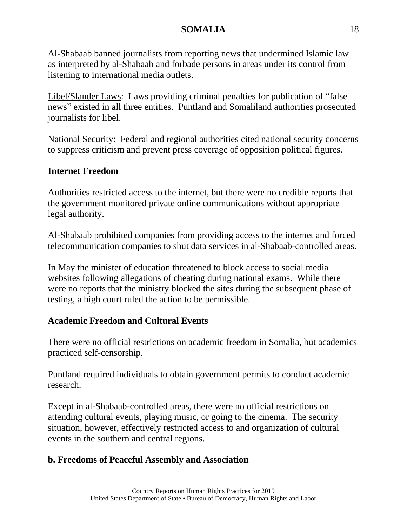Al-Shabaab banned journalists from reporting news that undermined Islamic law as interpreted by al-Shabaab and forbade persons in areas under its control from listening to international media outlets.

Libel/Slander Laws: Laws providing criminal penalties for publication of "false news" existed in all three entities. Puntland and Somaliland authorities prosecuted journalists for libel.

National Security: Federal and regional authorities cited national security concerns to suppress criticism and prevent press coverage of opposition political figures.

# **Internet Freedom**

Authorities restricted access to the internet, but there were no credible reports that the government monitored private online communications without appropriate legal authority.

Al-Shabaab prohibited companies from providing access to the internet and forced telecommunication companies to shut data services in al-Shabaab-controlled areas.

In May the minister of education threatened to block access to social media websites following allegations of cheating during national exams. While there were no reports that the ministry blocked the sites during the subsequent phase of testing, a high court ruled the action to be permissible.

# **Academic Freedom and Cultural Events**

There were no official restrictions on academic freedom in Somalia, but academics practiced self-censorship.

Puntland required individuals to obtain government permits to conduct academic research.

Except in al-Shabaab-controlled areas, there were no official restrictions on attending cultural events, playing music, or going to the cinema. The security situation, however, effectively restricted access to and organization of cultural events in the southern and central regions.

# **b. Freedoms of Peaceful Assembly and Association**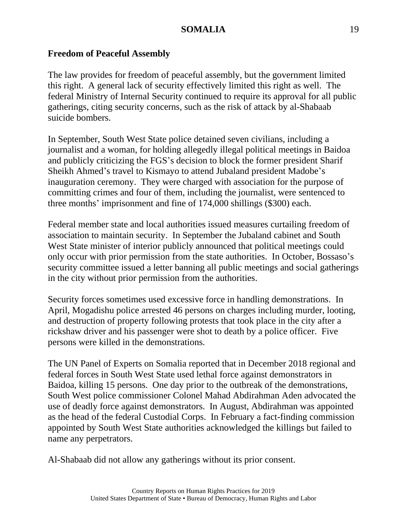### **Freedom of Peaceful Assembly**

The law provides for freedom of peaceful assembly, but the government limited this right. A general lack of security effectively limited this right as well. The federal Ministry of Internal Security continued to require its approval for all public gatherings, citing security concerns, such as the risk of attack by al-Shabaab suicide bombers.

In September, South West State police detained seven civilians, including a journalist and a woman, for holding allegedly illegal political meetings in Baidoa and publicly criticizing the FGS's decision to block the former president Sharif Sheikh Ahmed's travel to Kismayo to attend Jubaland president Madobe's inauguration ceremony. They were charged with association for the purpose of committing crimes and four of them, including the journalist, were sentenced to three months' imprisonment and fine of 174,000 shillings (\$300) each.

Federal member state and local authorities issued measures curtailing freedom of association to maintain security. In September the Jubaland cabinet and South West State minister of interior publicly announced that political meetings could only occur with prior permission from the state authorities. In October, Bossaso's security committee issued a letter banning all public meetings and social gatherings in the city without prior permission from the authorities.

Security forces sometimes used excessive force in handling demonstrations. In April, Mogadishu police arrested 46 persons on charges including murder, looting, and destruction of property following protests that took place in the city after a rickshaw driver and his passenger were shot to death by a police officer. Five persons were killed in the demonstrations.

The UN Panel of Experts on Somalia reported that in December 2018 regional and federal forces in South West State used lethal force against demonstrators in Baidoa, killing 15 persons. One day prior to the outbreak of the demonstrations, South West police commissioner Colonel Mahad Abdirahman Aden advocated the use of deadly force against demonstrators. In August, Abdirahman was appointed as the head of the federal Custodial Corps. In February a fact-finding commission appointed by South West State authorities acknowledged the killings but failed to name any perpetrators.

Al-Shabaab did not allow any gatherings without its prior consent.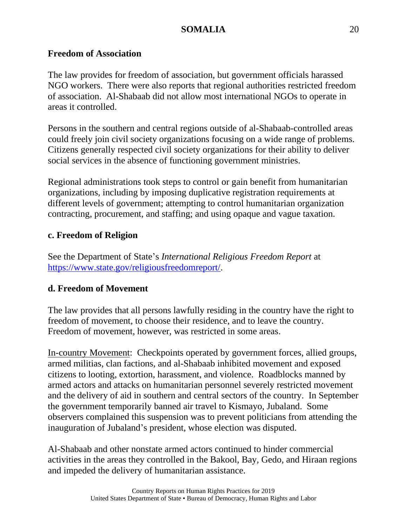### **Freedom of Association**

The law provides for freedom of association, but government officials harassed NGO workers. There were also reports that regional authorities restricted freedom of association. Al-Shabaab did not allow most international NGOs to operate in areas it controlled.

Persons in the southern and central regions outside of al-Shabaab-controlled areas could freely join civil society organizations focusing on a wide range of problems. Citizens generally respected civil society organizations for their ability to deliver social services in the absence of functioning government ministries.

Regional administrations took steps to control or gain benefit from humanitarian organizations, including by imposing duplicative registration requirements at different levels of government; attempting to control humanitarian organization contracting, procurement, and staffing; and using opaque and vague taxation.

### **c. Freedom of Religion**

See the Department of State's *International Religious Freedom Report* at [https://www.state.gov/religiousfreedomreport/.](https://www.state.gov/religiousfreedomreport/)

### **d. Freedom of Movement**

The law provides that all persons lawfully residing in the country have the right to freedom of movement, to choose their residence, and to leave the country. Freedom of movement, however, was restricted in some areas.

In-country Movement: Checkpoints operated by government forces, allied groups, armed militias, clan factions, and al-Shabaab inhibited movement and exposed citizens to looting, extortion, harassment, and violence. Roadblocks manned by armed actors and attacks on humanitarian personnel severely restricted movement and the delivery of aid in southern and central sectors of the country. In September the government temporarily banned air travel to Kismayo, Jubaland. Some observers complained this suspension was to prevent politicians from attending the inauguration of Jubaland's president, whose election was disputed.

Al-Shabaab and other nonstate armed actors continued to hinder commercial activities in the areas they controlled in the Bakool, Bay, Gedo, and Hiraan regions and impeded the delivery of humanitarian assistance.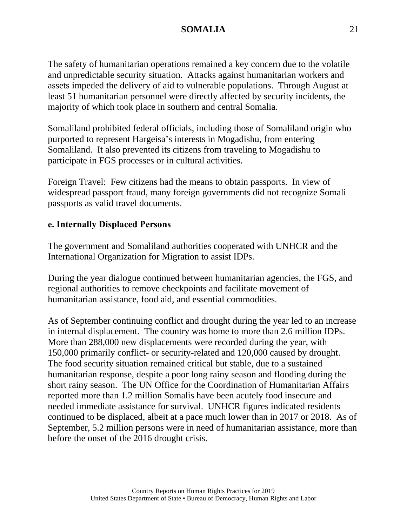The safety of humanitarian operations remained a key concern due to the volatile and unpredictable security situation. Attacks against humanitarian workers and assets impeded the delivery of aid to vulnerable populations. Through August at least 51 humanitarian personnel were directly affected by security incidents, the majority of which took place in southern and central Somalia.

Somaliland prohibited federal officials, including those of Somaliland origin who purported to represent Hargeisa's interests in Mogadishu, from entering Somaliland. It also prevented its citizens from traveling to Mogadishu to participate in FGS processes or in cultural activities.

Foreign Travel: Few citizens had the means to obtain passports. In view of widespread passport fraud, many foreign governments did not recognize Somali passports as valid travel documents.

#### **e. Internally Displaced Persons**

The government and Somaliland authorities cooperated with UNHCR and the International Organization for Migration to assist IDPs.

During the year dialogue continued between humanitarian agencies, the FGS, and regional authorities to remove checkpoints and facilitate movement of humanitarian assistance, food aid, and essential commodities.

As of September continuing conflict and drought during the year led to an increase in internal displacement. The country was home to more than 2.6 million IDPs. More than 288,000 new displacements were recorded during the year, with 150,000 primarily conflict- or security-related and 120,000 caused by drought. The food security situation remained critical but stable, due to a sustained humanitarian response, despite a poor long rainy season and flooding during the short rainy season. The UN Office for the Coordination of Humanitarian Affairs reported more than 1.2 million Somalis have been acutely food insecure and needed immediate assistance for survival. UNHCR figures indicated residents continued to be displaced, albeit at a pace much lower than in 2017 or 2018. As of September, 5.2 million persons were in need of humanitarian assistance, more than before the onset of the 2016 drought crisis.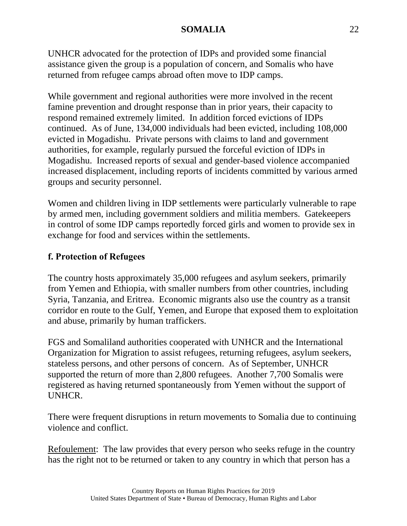UNHCR advocated for the protection of IDPs and provided some financial assistance given the group is a population of concern, and Somalis who have returned from refugee camps abroad often move to IDP camps.

While government and regional authorities were more involved in the recent famine prevention and drought response than in prior years, their capacity to respond remained extremely limited. In addition forced evictions of IDPs continued. As of June, 134,000 individuals had been evicted, including 108,000 evicted in Mogadishu. Private persons with claims to land and government authorities, for example, regularly pursued the forceful eviction of IDPs in Mogadishu. Increased reports of sexual and gender-based violence accompanied increased displacement, including reports of incidents committed by various armed groups and security personnel.

Women and children living in IDP settlements were particularly vulnerable to rape by armed men, including government soldiers and militia members. Gatekeepers in control of some IDP camps reportedly forced girls and women to provide sex in exchange for food and services within the settlements.

# **f. Protection of Refugees**

The country hosts approximately 35,000 refugees and asylum seekers, primarily from Yemen and Ethiopia, with smaller numbers from other countries, including Syria, Tanzania, and Eritrea. Economic migrants also use the country as a transit corridor en route to the Gulf, Yemen, and Europe that exposed them to exploitation and abuse, primarily by human traffickers.

FGS and Somaliland authorities cooperated with UNHCR and the International Organization for Migration to assist refugees, returning refugees, asylum seekers, stateless persons, and other persons of concern. As of September, UNHCR supported the return of more than 2,800 refugees. Another 7,700 Somalis were registered as having returned spontaneously from Yemen without the support of UNHCR.

There were frequent disruptions in return movements to Somalia due to continuing violence and conflict.

Refoulement: The law provides that every person who seeks refuge in the country has the right not to be returned or taken to any country in which that person has a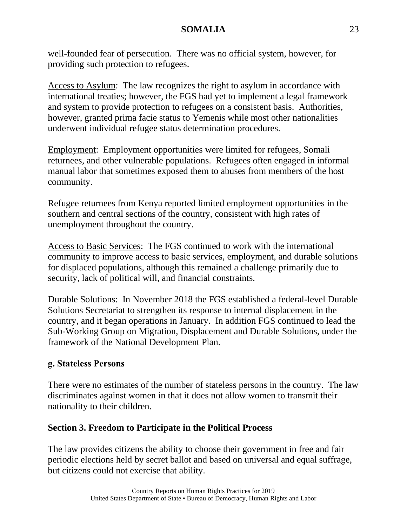well-founded fear of persecution. There was no official system, however, for providing such protection to refugees.

Access to Asylum: The law recognizes the right to asylum in accordance with international treaties; however, the FGS had yet to implement a legal framework and system to provide protection to refugees on a consistent basis. Authorities, however, granted prima facie status to Yemenis while most other nationalities underwent individual refugee status determination procedures.

Employment: Employment opportunities were limited for refugees, Somali returnees, and other vulnerable populations. Refugees often engaged in informal manual labor that sometimes exposed them to abuses from members of the host community.

Refugee returnees from Kenya reported limited employment opportunities in the southern and central sections of the country, consistent with high rates of unemployment throughout the country.

Access to Basic Services: The FGS continued to work with the international community to improve access to basic services, employment, and durable solutions for displaced populations, although this remained a challenge primarily due to security, lack of political will, and financial constraints.

Durable Solutions: In November 2018 the FGS established a federal-level Durable Solutions Secretariat to strengthen its response to internal displacement in the country, and it began operations in January. In addition FGS continued to lead the Sub-Working Group on Migration, Displacement and Durable Solutions, under the framework of the National Development Plan.

### **g. Stateless Persons**

There were no estimates of the number of stateless persons in the country. The law discriminates against women in that it does not allow women to transmit their nationality to their children.

### **Section 3. Freedom to Participate in the Political Process**

The law provides citizens the ability to choose their government in free and fair periodic elections held by secret ballot and based on universal and equal suffrage, but citizens could not exercise that ability.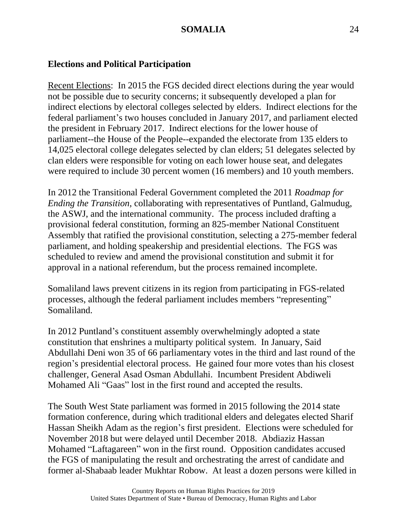#### **Elections and Political Participation**

Recent Elections: In 2015 the FGS decided direct elections during the year would not be possible due to security concerns; it subsequently developed a plan for indirect elections by electoral colleges selected by elders. Indirect elections for the federal parliament's two houses concluded in January 2017, and parliament elected the president in February 2017. Indirect elections for the lower house of parliament--the House of the People--expanded the electorate from 135 elders to 14,025 electoral college delegates selected by clan elders; 51 delegates selected by clan elders were responsible for voting on each lower house seat, and delegates were required to include 30 percent women (16 members) and 10 youth members.

In 2012 the Transitional Federal Government completed the 2011 *Roadmap for Ending the Transition*, collaborating with representatives of Puntland, Galmudug, the ASWJ, and the international community. The process included drafting a provisional federal constitution, forming an 825-member National Constituent Assembly that ratified the provisional constitution, selecting a 275-member federal parliament, and holding speakership and presidential elections. The FGS was scheduled to review and amend the provisional constitution and submit it for approval in a national referendum, but the process remained incomplete.

Somaliland laws prevent citizens in its region from participating in FGS-related processes, although the federal parliament includes members "representing" Somaliland.

In 2012 Puntland's constituent assembly overwhelmingly adopted a state constitution that enshrines a multiparty political system. In January, Said Abdullahi Deni won 35 of 66 parliamentary votes in the third and last round of the region's presidential electoral process. He gained four more votes than his closest challenger, General Asad Osman Abdullahi. Incumbent President Abdiweli Mohamed Ali "Gaas" lost in the first round and accepted the results.

The South West State parliament was formed in 2015 following the 2014 state formation conference, during which traditional elders and delegates elected Sharif Hassan Sheikh Adam as the region's first president. Elections were scheduled for November 2018 but were delayed until December 2018. Abdiaziz Hassan Mohamed "Laftagareen" won in the first round. Opposition candidates accused the FGS of manipulating the result and orchestrating the arrest of candidate and former al-Shabaab leader Mukhtar Robow. At least a dozen persons were killed in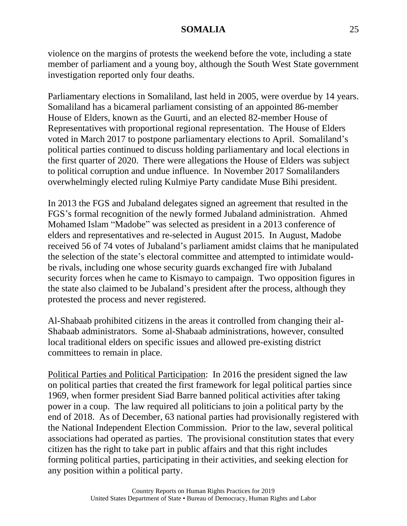violence on the margins of protests the weekend before the vote, including a state member of parliament and a young boy, although the South West State government investigation reported only four deaths.

Parliamentary elections in Somaliland, last held in 2005, were overdue by 14 years. Somaliland has a bicameral parliament consisting of an appointed 86-member House of Elders, known as the Guurti, and an elected 82-member House of Representatives with proportional regional representation. The House of Elders voted in March 2017 to postpone parliamentary elections to April. Somaliland's political parties continued to discuss holding parliamentary and local elections in the first quarter of 2020. There were allegations the House of Elders was subject to political corruption and undue influence. In November 2017 Somalilanders overwhelmingly elected ruling Kulmiye Party candidate Muse Bihi president.

In 2013 the FGS and Jubaland delegates signed an agreement that resulted in the FGS's formal recognition of the newly formed Jubaland administration. Ahmed Mohamed Islam "Madobe" was selected as president in a 2013 conference of elders and representatives and re-selected in August 2015. In August, Madobe received 56 of 74 votes of Jubaland's parliament amidst claims that he manipulated the selection of the state's electoral committee and attempted to intimidate wouldbe rivals, including one whose security guards exchanged fire with Jubaland security forces when he came to Kismayo to campaign. Two opposition figures in the state also claimed to be Jubaland's president after the process, although they protested the process and never registered.

Al-Shabaab prohibited citizens in the areas it controlled from changing their al-Shabaab administrators. Some al-Shabaab administrations, however, consulted local traditional elders on specific issues and allowed pre-existing district committees to remain in place.

Political Parties and Political Participation: In 2016 the president signed the law on political parties that created the first framework for legal political parties since 1969, when former president Siad Barre banned political activities after taking power in a coup. The law required all politicians to join a political party by the end of 2018. As of December, 63 national parties had provisionally registered with the National Independent Election Commission. Prior to the law, several political associations had operated as parties. The provisional constitution states that every citizen has the right to take part in public affairs and that this right includes forming political parties, participating in their activities, and seeking election for any position within a political party.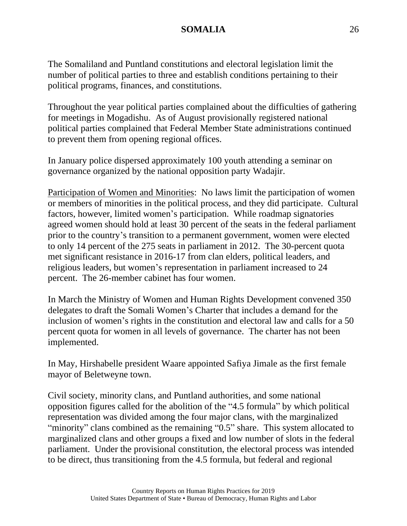The Somaliland and Puntland constitutions and electoral legislation limit the number of political parties to three and establish conditions pertaining to their political programs, finances, and constitutions.

Throughout the year political parties complained about the difficulties of gathering for meetings in Mogadishu. As of August provisionally registered national political parties complained that Federal Member State administrations continued to prevent them from opening regional offices.

In January police dispersed approximately 100 youth attending a seminar on governance organized by the national opposition party Wadajir.

Participation of Women and Minorities: No laws limit the participation of women or members of minorities in the political process, and they did participate. Cultural factors, however, limited women's participation. While roadmap signatories agreed women should hold at least 30 percent of the seats in the federal parliament prior to the country's transition to a permanent government, women were elected to only 14 percent of the 275 seats in parliament in 2012. The 30-percent quota met significant resistance in 2016-17 from clan elders, political leaders, and religious leaders, but women's representation in parliament increased to 24 percent. The 26-member cabinet has four women.

In March the Ministry of Women and Human Rights Development convened 350 delegates to draft the Somali Women's Charter that includes a demand for the inclusion of women's rights in the constitution and electoral law and calls for a 50 percent quota for women in all levels of governance. The charter has not been implemented.

In May, Hirshabelle president Waare appointed Safiya Jimale as the first female mayor of Beletweyne town.

Civil society, minority clans, and Puntland authorities, and some national opposition figures called for the abolition of the "4.5 formula" by which political representation was divided among the four major clans, with the marginalized "minority" clans combined as the remaining "0.5" share. This system allocated to marginalized clans and other groups a fixed and low number of slots in the federal parliament. Under the provisional constitution, the electoral process was intended to be direct, thus transitioning from the 4.5 formula, but federal and regional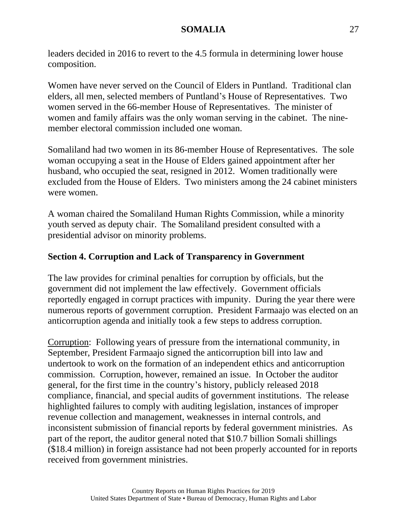leaders decided in 2016 to revert to the 4.5 formula in determining lower house composition.

Women have never served on the Council of Elders in Puntland. Traditional clan elders, all men, selected members of Puntland's House of Representatives. Two women served in the 66-member House of Representatives. The minister of women and family affairs was the only woman serving in the cabinet. The ninemember electoral commission included one woman.

Somaliland had two women in its 86-member House of Representatives. The sole woman occupying a seat in the House of Elders gained appointment after her husband, who occupied the seat, resigned in 2012. Women traditionally were excluded from the House of Elders. Two ministers among the 24 cabinet ministers were women.

A woman chaired the Somaliland Human Rights Commission, while a minority youth served as deputy chair. The Somaliland president consulted with a presidential advisor on minority problems.

# **Section 4. Corruption and Lack of Transparency in Government**

The law provides for criminal penalties for corruption by officials, but the government did not implement the law effectively. Government officials reportedly engaged in corrupt practices with impunity. During the year there were numerous reports of government corruption. President Farmaajo was elected on an anticorruption agenda and initially took a few steps to address corruption.

Corruption: Following years of pressure from the international community, in September, President Farmaajo signed the anticorruption bill into law and undertook to work on the formation of an independent ethics and anticorruption commission. Corruption, however, remained an issue. In October the auditor general, for the first time in the country's history, publicly released 2018 compliance, financial, and special audits of government institutions. The release highlighted failures to comply with auditing legislation, instances of improper revenue collection and management, weaknesses in internal controls, and inconsistent submission of financial reports by federal government ministries. As part of the report, the auditor general noted that \$10.7 billion Somali shillings (\$18.4 million) in foreign assistance had not been properly accounted for in reports received from government ministries.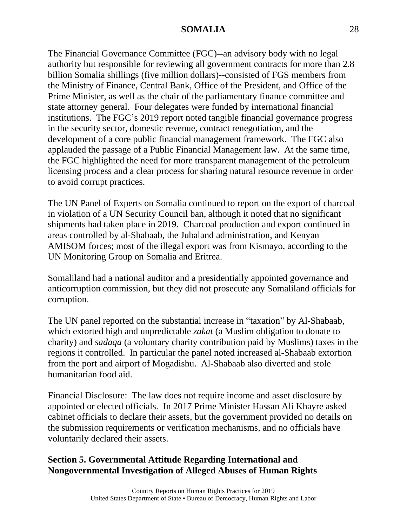The Financial Governance Committee (FGC)--an advisory body with no legal authority but responsible for reviewing all government contracts for more than 2.8 billion Somalia shillings (five million dollars)--consisted of FGS members from the Ministry of Finance, Central Bank, Office of the President, and Office of the Prime Minister, as well as the chair of the parliamentary finance committee and state attorney general. Four delegates were funded by international financial institutions. The FGC's 2019 report noted tangible financial governance progress in the security sector, domestic revenue, contract renegotiation, and the development of a core public financial management framework. The FGC also applauded the passage of a Public Financial Management law. At the same time, the FGC highlighted the need for more transparent management of the petroleum licensing process and a clear process for sharing natural resource revenue in order to avoid corrupt practices.

The UN Panel of Experts on Somalia continued to report on the export of charcoal in violation of a UN Security Council ban, although it noted that no significant shipments had taken place in 2019. Charcoal production and export continued in areas controlled by al-Shabaab, the Jubaland administration, and Kenyan AMISOM forces; most of the illegal export was from Kismayo, according to the UN Monitoring Group on Somalia and Eritrea.

Somaliland had a national auditor and a presidentially appointed governance and anticorruption commission, but they did not prosecute any Somaliland officials for corruption.

The UN panel reported on the substantial increase in "taxation" by Al-Shabaab, which extorted high and unpredictable *zakat* (a Muslim obligation to donate to charity) and *sadaqa* (a voluntary charity contribution paid by Muslims) taxes in the regions it controlled. In particular the panel noted increased al-Shabaab extortion from the port and airport of Mogadishu. Al-Shabaab also diverted and stole humanitarian food aid.

Financial Disclosure: The law does not require income and asset disclosure by appointed or elected officials. In 2017 Prime Minister Hassan Ali Khayre asked cabinet officials to declare their assets, but the government provided no details on the submission requirements or verification mechanisms, and no officials have voluntarily declared their assets.

# **Section 5. Governmental Attitude Regarding International and Nongovernmental Investigation of Alleged Abuses of Human Rights**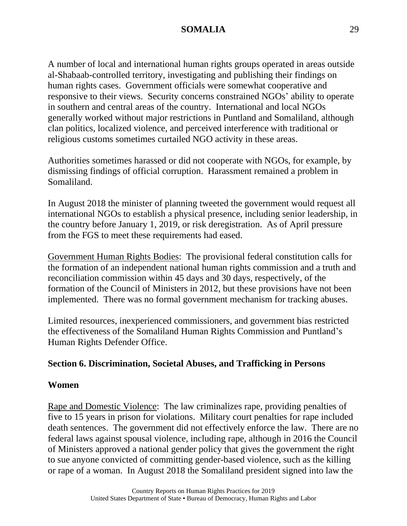A number of local and international human rights groups operated in areas outside al-Shabaab-controlled territory, investigating and publishing their findings on human rights cases. Government officials were somewhat cooperative and responsive to their views. Security concerns constrained NGOs' ability to operate in southern and central areas of the country. International and local NGOs generally worked without major restrictions in Puntland and Somaliland, although clan politics, localized violence, and perceived interference with traditional or religious customs sometimes curtailed NGO activity in these areas.

Authorities sometimes harassed or did not cooperate with NGOs, for example, by dismissing findings of official corruption. Harassment remained a problem in Somaliland.

In August 2018 the minister of planning tweeted the government would request all international NGOs to establish a physical presence, including senior leadership, in the country before January 1, 2019, or risk deregistration. As of April pressure from the FGS to meet these requirements had eased.

Government Human Rights Bodies: The provisional federal constitution calls for the formation of an independent national human rights commission and a truth and reconciliation commission within 45 days and 30 days, respectively, of the formation of the Council of Ministers in 2012, but these provisions have not been implemented. There was no formal government mechanism for tracking abuses.

Limited resources, inexperienced commissioners, and government bias restricted the effectiveness of the Somaliland Human Rights Commission and Puntland's Human Rights Defender Office.

### **Section 6. Discrimination, Societal Abuses, and Trafficking in Persons**

### **Women**

Rape and Domestic Violence: The law criminalizes rape, providing penalties of five to 15 years in prison for violations. Military court penalties for rape included death sentences. The government did not effectively enforce the law. There are no federal laws against spousal violence, including rape, although in 2016 the Council of Ministers approved a national gender policy that gives the government the right to sue anyone convicted of committing gender-based violence, such as the killing or rape of a woman. In August 2018 the Somaliland president signed into law the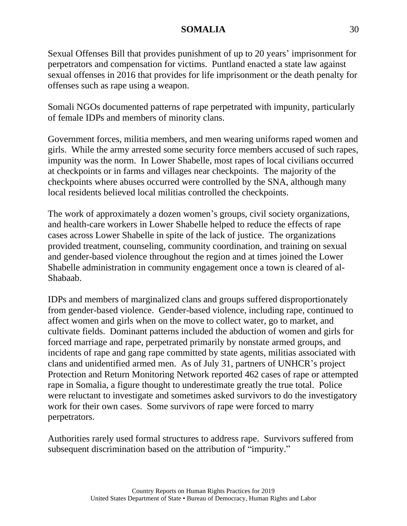Sexual Offenses Bill that provides punishment of up to 20 years' imprisonment for perpetrators and compensation for victims. Puntland enacted a state law against sexual offenses in 2016 that provides for life imprisonment or the death penalty for offenses such as rape using a weapon.

Somali NGOs documented patterns of rape perpetrated with impunity, particularly of female IDPs and members of minority clans.

Government forces, militia members, and men wearing uniforms raped women and girls. While the army arrested some security force members accused of such rapes, impunity was the norm. In Lower Shabelle, most rapes of local civilians occurred at checkpoints or in farms and villages near checkpoints. The majority of the checkpoints where abuses occurred were controlled by the SNA, although many local residents believed local militias controlled the checkpoints.

The work of approximately a dozen women's groups, civil society organizations, and health-care workers in Lower Shabelle helped to reduce the effects of rape cases across Lower Shabelle in spite of the lack of justice. The organizations provided treatment, counseling, community coordination, and training on sexual and gender-based violence throughout the region and at times joined the Lower Shabelle administration in community engagement once a town is cleared of al-Shabaab.

IDPs and members of marginalized clans and groups suffered disproportionately from gender-based violence. Gender-based violence, including rape, continued to affect women and girls when on the move to collect water, go to market, and cultivate fields. Dominant patterns included the abduction of women and girls for forced marriage and rape, perpetrated primarily by nonstate armed groups, and incidents of rape and gang rape committed by state agents, militias associated with clans and unidentified armed men. As of July 31, partners of UNHCR's project Protection and Return Monitoring Network reported 462 cases of rape or attempted rape in Somalia, a figure thought to underestimate greatly the true total. Police were reluctant to investigate and sometimes asked survivors to do the investigatory work for their own cases. Some survivors of rape were forced to marry perpetrators.

Authorities rarely used formal structures to address rape. Survivors suffered from subsequent discrimination based on the attribution of "impurity."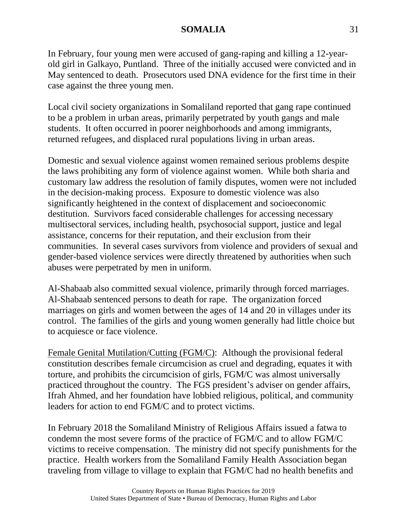In February, four young men were accused of gang-raping and killing a 12-yearold girl in Galkayo, Puntland. Three of the initially accused were convicted and in May sentenced to death. Prosecutors used DNA evidence for the first time in their case against the three young men.

Local civil society organizations in Somaliland reported that gang rape continued to be a problem in urban areas, primarily perpetrated by youth gangs and male students. It often occurred in poorer neighborhoods and among immigrants, returned refugees, and displaced rural populations living in urban areas.

Domestic and sexual violence against women remained serious problems despite the laws prohibiting any form of violence against women. While both sharia and customary law address the resolution of family disputes, women were not included in the decision-making process. Exposure to domestic violence was also significantly heightened in the context of displacement and socioeconomic destitution. Survivors faced considerable challenges for accessing necessary multisectoral services, including health, psychosocial support, justice and legal assistance, concerns for their reputation, and their exclusion from their communities. In several cases survivors from violence and providers of sexual and gender-based violence services were directly threatened by authorities when such abuses were perpetrated by men in uniform.

Al-Shabaab also committed sexual violence, primarily through forced marriages. Al-Shabaab sentenced persons to death for rape. The organization forced marriages on girls and women between the ages of 14 and 20 in villages under its control. The families of the girls and young women generally had little choice but to acquiesce or face violence.

Female Genital Mutilation/Cutting (FGM/C): Although the provisional federal constitution describes female circumcision as cruel and degrading, equates it with torture, and prohibits the circumcision of girls, FGM/C was almost universally practiced throughout the country. The FGS president's adviser on gender affairs, Ifrah Ahmed, and her foundation have lobbied religious, political, and community leaders for action to end FGM/C and to protect victims.

In February 2018 the Somaliland Ministry of Religious Affairs issued a fatwa to condemn the most severe forms of the practice of FGM/C and to allow FGM/C victims to receive compensation. The ministry did not specify punishments for the practice. Health workers from the Somaliland Family Health Association began traveling from village to village to explain that FGM/C had no health benefits and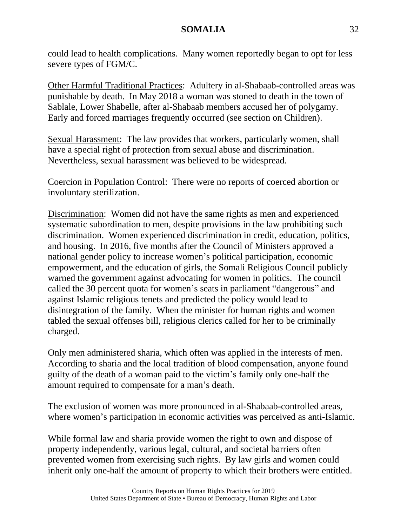could lead to health complications. Many women reportedly began to opt for less severe types of FGM/C.

Other Harmful Traditional Practices: Adultery in al-Shabaab-controlled areas was punishable by death. In May 2018 a woman was stoned to death in the town of Sablale, Lower Shabelle, after al-Shabaab members accused her of polygamy. Early and forced marriages frequently occurred (see section on Children).

Sexual Harassment: The law provides that workers, particularly women, shall have a special right of protection from sexual abuse and discrimination. Nevertheless, sexual harassment was believed to be widespread.

Coercion in Population Control: There were no reports of coerced abortion or involuntary sterilization.

Discrimination: Women did not have the same rights as men and experienced systematic subordination to men, despite provisions in the law prohibiting such discrimination. Women experienced discrimination in credit, education, politics, and housing. In 2016, five months after the Council of Ministers approved a national gender policy to increase women's political participation, economic empowerment, and the education of girls, the Somali Religious Council publicly warned the government against advocating for women in politics. The council called the 30 percent quota for women's seats in parliament "dangerous" and against Islamic religious tenets and predicted the policy would lead to disintegration of the family. When the minister for human rights and women tabled the sexual offenses bill, religious clerics called for her to be criminally charged.

Only men administered sharia, which often was applied in the interests of men. According to sharia and the local tradition of blood compensation, anyone found guilty of the death of a woman paid to the victim's family only one-half the amount required to compensate for a man's death.

The exclusion of women was more pronounced in al-Shabaab-controlled areas, where women's participation in economic activities was perceived as anti-Islamic.

While formal law and sharia provide women the right to own and dispose of property independently, various legal, cultural, and societal barriers often prevented women from exercising such rights. By law girls and women could inherit only one-half the amount of property to which their brothers were entitled.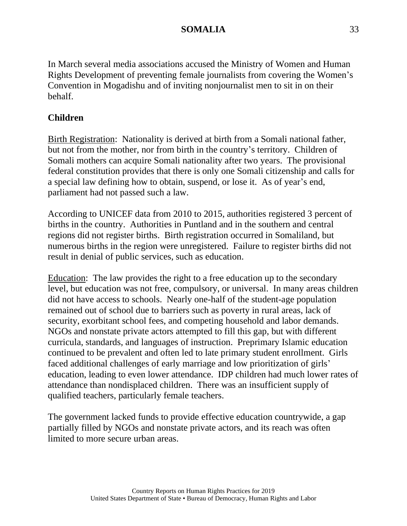In March several media associations accused the Ministry of Women and Human Rights Development of preventing female journalists from covering the Women's Convention in Mogadishu and of inviting nonjournalist men to sit in on their behalf.

# **Children**

Birth Registration: Nationality is derived at birth from a Somali national father, but not from the mother, nor from birth in the country's territory. Children of Somali mothers can acquire Somali nationality after two years. The provisional federal constitution provides that there is only one Somali citizenship and calls for a special law defining how to obtain, suspend, or lose it. As of year's end, parliament had not passed such a law.

According to UNICEF data from 2010 to 2015, authorities registered 3 percent of births in the country. Authorities in Puntland and in the southern and central regions did not register births. Birth registration occurred in Somaliland, but numerous births in the region were unregistered. Failure to register births did not result in denial of public services, such as education.

Education: The law provides the right to a free education up to the secondary level, but education was not free, compulsory, or universal. In many areas children did not have access to schools. Nearly one-half of the student-age population remained out of school due to barriers such as poverty in rural areas, lack of security, exorbitant school fees, and competing household and labor demands. NGOs and nonstate private actors attempted to fill this gap, but with different curricula, standards, and languages of instruction. Preprimary Islamic education continued to be prevalent and often led to late primary student enrollment. Girls faced additional challenges of early marriage and low prioritization of girls' education, leading to even lower attendance. IDP children had much lower rates of attendance than nondisplaced children. There was an insufficient supply of qualified teachers, particularly female teachers.

The government lacked funds to provide effective education countrywide, a gap partially filled by NGOs and nonstate private actors, and its reach was often limited to more secure urban areas.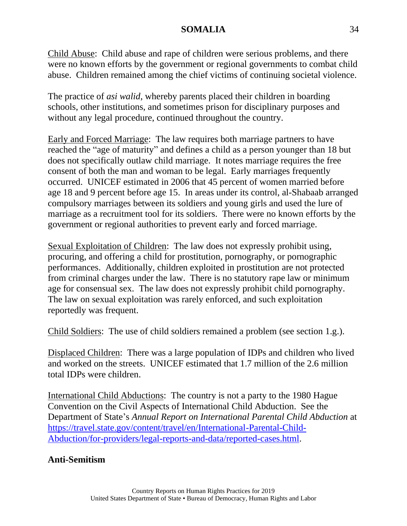Child Abuse: Child abuse and rape of children were serious problems, and there were no known efforts by the government or regional governments to combat child abuse. Children remained among the chief victims of continuing societal violence.

The practice of *asi walid*, whereby parents placed their children in boarding schools, other institutions, and sometimes prison for disciplinary purposes and without any legal procedure, continued throughout the country.

Early and Forced Marriage: The law requires both marriage partners to have reached the "age of maturity" and defines a child as a person younger than 18 but does not specifically outlaw child marriage. It notes marriage requires the free consent of both the man and woman to be legal. Early marriages frequently occurred. UNICEF estimated in 2006 that 45 percent of women married before age 18 and 9 percent before age 15. In areas under its control, al-Shabaab arranged compulsory marriages between its soldiers and young girls and used the lure of marriage as a recruitment tool for its soldiers. There were no known efforts by the government or regional authorities to prevent early and forced marriage.

Sexual Exploitation of Children: The law does not expressly prohibit using, procuring, and offering a child for prostitution, pornography, or pornographic performances. Additionally, children exploited in prostitution are not protected from criminal charges under the law. There is no statutory rape law or minimum age for consensual sex. The law does not expressly prohibit child pornography. The law on sexual exploitation was rarely enforced, and such exploitation reportedly was frequent.

Child Soldiers: The use of child soldiers remained a problem (see section 1.g.).

Displaced Children: There was a large population of IDPs and children who lived and worked on the streets. UNICEF estimated that 1.7 million of the 2.6 million total IDPs were children.

International Child Abductions: The country is not a party to the 1980 Hague Convention on the Civil Aspects of International Child Abduction. See the Department of State's *Annual Report on International Parental Child Abduction* at [https://travel.state.gov/content/travel/en/International-Parental-Child-](https://travel.state.gov/content/travel/en/International-Parental-Child-Abduction/for-providers/legal-reports-and-data/reported-cases.html)[Abduction/for-providers/legal-reports-and-data/reported-cases.html.](https://travel.state.gov/content/travel/en/International-Parental-Child-Abduction/for-providers/legal-reports-and-data/reported-cases.html)

# **Anti-Semitism**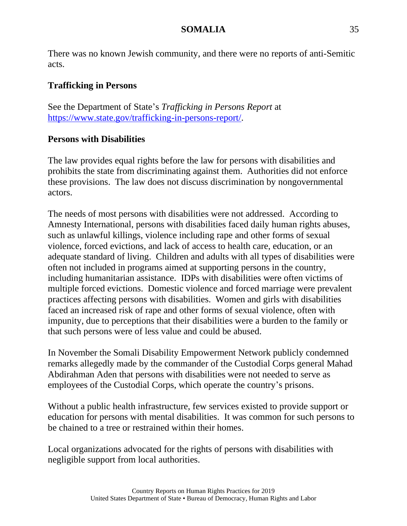There was no known Jewish community, and there were no reports of anti-Semitic acts.

# **Trafficking in Persons**

See the Department of State's *Trafficking in Persons Report* at [https://www.state.gov/trafficking-in-persons-report/.](https://www.state.gov/trafficking-in-persons-report/)

# **Persons with Disabilities**

The law provides equal rights before the law for persons with disabilities and prohibits the state from discriminating against them. Authorities did not enforce these provisions. The law does not discuss discrimination by nongovernmental actors.

The needs of most persons with disabilities were not addressed. According to Amnesty International, persons with disabilities faced daily human rights abuses, such as unlawful killings, violence including rape and other forms of sexual violence, forced evictions, and lack of access to health care, education, or an adequate standard of living. Children and adults with all types of disabilities were often not included in programs aimed at supporting persons in the country, including humanitarian assistance. IDPs with disabilities were often victims of multiple forced evictions. Domestic violence and forced marriage were prevalent practices affecting persons with disabilities. Women and girls with disabilities faced an increased risk of rape and other forms of sexual violence, often with impunity, due to perceptions that their disabilities were a burden to the family or that such persons were of less value and could be abused.

In November the Somali Disability Empowerment Network publicly condemned remarks allegedly made by the commander of the Custodial Corps general Mahad Abdirahman Aden that persons with disabilities were not needed to serve as employees of the Custodial Corps, which operate the country's prisons.

Without a public health infrastructure, few services existed to provide support or education for persons with mental disabilities. It was common for such persons to be chained to a tree or restrained within their homes.

Local organizations advocated for the rights of persons with disabilities with negligible support from local authorities.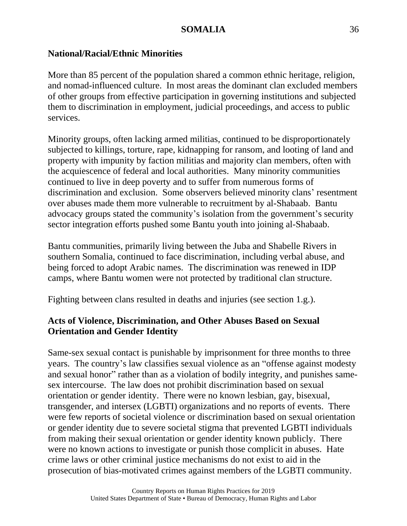### **National/Racial/Ethnic Minorities**

More than 85 percent of the population shared a common ethnic heritage, religion, and nomad-influenced culture. In most areas the dominant clan excluded members of other groups from effective participation in governing institutions and subjected them to discrimination in employment, judicial proceedings, and access to public services.

Minority groups, often lacking armed militias, continued to be disproportionately subjected to killings, torture, rape, kidnapping for ransom, and looting of land and property with impunity by faction militias and majority clan members, often with the acquiescence of federal and local authorities. Many minority communities continued to live in deep poverty and to suffer from numerous forms of discrimination and exclusion. Some observers believed minority clans' resentment over abuses made them more vulnerable to recruitment by al-Shabaab. Bantu advocacy groups stated the community's isolation from the government's security sector integration efforts pushed some Bantu youth into joining al-Shabaab.

Bantu communities, primarily living between the Juba and Shabelle Rivers in southern Somalia, continued to face discrimination, including verbal abuse, and being forced to adopt Arabic names. The discrimination was renewed in IDP camps, where Bantu women were not protected by traditional clan structure.

Fighting between clans resulted in deaths and injuries (see section 1.g.).

# **Acts of Violence, Discrimination, and Other Abuses Based on Sexual Orientation and Gender Identity**

Same-sex sexual contact is punishable by imprisonment for three months to three years. The country's law classifies sexual violence as an "offense against modesty and sexual honor" rather than as a violation of bodily integrity, and punishes samesex intercourse. The law does not prohibit discrimination based on sexual orientation or gender identity. There were no known lesbian, gay, bisexual, transgender, and intersex (LGBTI) organizations and no reports of events. There were few reports of societal violence or discrimination based on sexual orientation or gender identity due to severe societal stigma that prevented LGBTI individuals from making their sexual orientation or gender identity known publicly. There were no known actions to investigate or punish those complicit in abuses. Hate crime laws or other criminal justice mechanisms do not exist to aid in the prosecution of bias-motivated crimes against members of the LGBTI community.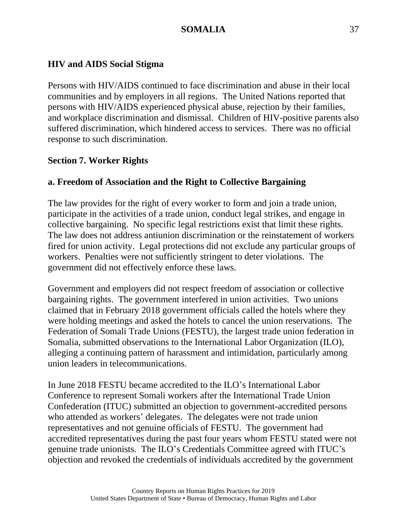#### **HIV and AIDS Social Stigma**

Persons with HIV/AIDS continued to face discrimination and abuse in their local communities and by employers in all regions. The United Nations reported that persons with HIV/AIDS experienced physical abuse, rejection by their families, and workplace discrimination and dismissal. Children of HIV-positive parents also suffered discrimination, which hindered access to services. There was no official response to such discrimination.

#### **Section 7. Worker Rights**

#### **a. Freedom of Association and the Right to Collective Bargaining**

The law provides for the right of every worker to form and join a trade union, participate in the activities of a trade union, conduct legal strikes, and engage in collective bargaining. No specific legal restrictions exist that limit these rights. The law does not address antiunion discrimination or the reinstatement of workers fired for union activity. Legal protections did not exclude any particular groups of workers. Penalties were not sufficiently stringent to deter violations. The government did not effectively enforce these laws.

Government and employers did not respect freedom of association or collective bargaining rights. The government interfered in union activities. Two unions claimed that in February 2018 government officials called the hotels where they were holding meetings and asked the hotels to cancel the union reservations. The Federation of Somali Trade Unions (FESTU), the largest trade union federation in Somalia, submitted observations to the International Labor Organization (ILO), alleging a continuing pattern of harassment and intimidation, particularly among union leaders in telecommunications.

In June 2018 FESTU became accredited to the ILO's International Labor Conference to represent Somali workers after the International Trade Union Confederation (ITUC) submitted an objection to government-accredited persons who attended as workers' delegates. The delegates were not trade union representatives and not genuine officials of FESTU. The government had accredited representatives during the past four years whom FESTU stated were not genuine trade unionists. The ILO's Credentials Committee agreed with ITUC's objection and revoked the credentials of individuals accredited by the government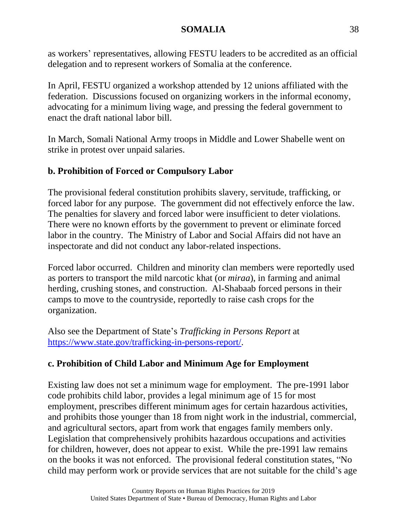as workers' representatives, allowing FESTU leaders to be accredited as an official delegation and to represent workers of Somalia at the conference.

In April, FESTU organized a workshop attended by 12 unions affiliated with the federation. Discussions focused on organizing workers in the informal economy, advocating for a minimum living wage, and pressing the federal government to enact the draft national labor bill.

In March, Somali National Army troops in Middle and Lower Shabelle went on strike in protest over unpaid salaries.

# **b. Prohibition of Forced or Compulsory Labor**

The provisional federal constitution prohibits slavery, servitude, trafficking, or forced labor for any purpose. The government did not effectively enforce the law. The penalties for slavery and forced labor were insufficient to deter violations. There were no known efforts by the government to prevent or eliminate forced labor in the country. The Ministry of Labor and Social Affairs did not have an inspectorate and did not conduct any labor-related inspections.

Forced labor occurred. Children and minority clan members were reportedly used as porters to transport the mild narcotic khat (or *miraa*), in farming and animal herding, crushing stones, and construction. Al-Shabaab forced persons in their camps to move to the countryside, reportedly to raise cash crops for the organization.

Also see the Department of State's *Trafficking in Persons Report* at [https://www.state.gov/trafficking-in-persons-report/.](https://www.state.gov/trafficking-in-persons-report/)

# **c. Prohibition of Child Labor and Minimum Age for Employment**

Existing law does not set a minimum wage for employment. The pre-1991 labor code prohibits child labor, provides a legal minimum age of 15 for most employment, prescribes different minimum ages for certain hazardous activities, and prohibits those younger than 18 from night work in the industrial, commercial, and agricultural sectors, apart from work that engages family members only. Legislation that comprehensively prohibits hazardous occupations and activities for children, however, does not appear to exist. While the pre-1991 law remains on the books it was not enforced. The provisional federal constitution states, "No child may perform work or provide services that are not suitable for the child's age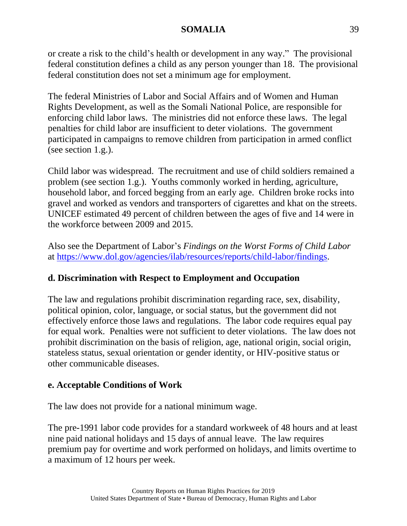or create a risk to the child's health or development in any way." The provisional federal constitution defines a child as any person younger than 18. The provisional federal constitution does not set a minimum age for employment.

The federal Ministries of Labor and Social Affairs and of Women and Human Rights Development, as well as the Somali National Police, are responsible for enforcing child labor laws. The ministries did not enforce these laws. The legal penalties for child labor are insufficient to deter violations. The government participated in campaigns to remove children from participation in armed conflict (see section 1.g.).

Child labor was widespread. The recruitment and use of child soldiers remained a problem (see section 1.g.). Youths commonly worked in herding, agriculture, household labor, and forced begging from an early age. Children broke rocks into gravel and worked as vendors and transporters of cigarettes and khat on the streets. UNICEF estimated 49 percent of children between the ages of five and 14 were in the workforce between 2009 and 2015.

Also see the Department of Labor's *Findings on the Worst Forms of Child Labor* at [https://www.dol.gov/agencies/ilab/resources/reports/child-labor/findings.](https://www.dol.gov/agencies/ilab/resources/reports/child-labor/findings)

# **d. Discrimination with Respect to Employment and Occupation**

The law and regulations prohibit discrimination regarding race, sex, disability, political opinion, color, language, or social status, but the government did not effectively enforce those laws and regulations. The labor code requires equal pay for equal work. Penalties were not sufficient to deter violations. The law does not prohibit discrimination on the basis of religion, age, national origin, social origin, stateless status, sexual orientation or gender identity, or HIV-positive status or other communicable diseases.

# **e. Acceptable Conditions of Work**

The law does not provide for a national minimum wage.

The pre-1991 labor code provides for a standard workweek of 48 hours and at least nine paid national holidays and 15 days of annual leave. The law requires premium pay for overtime and work performed on holidays, and limits overtime to a maximum of 12 hours per week.